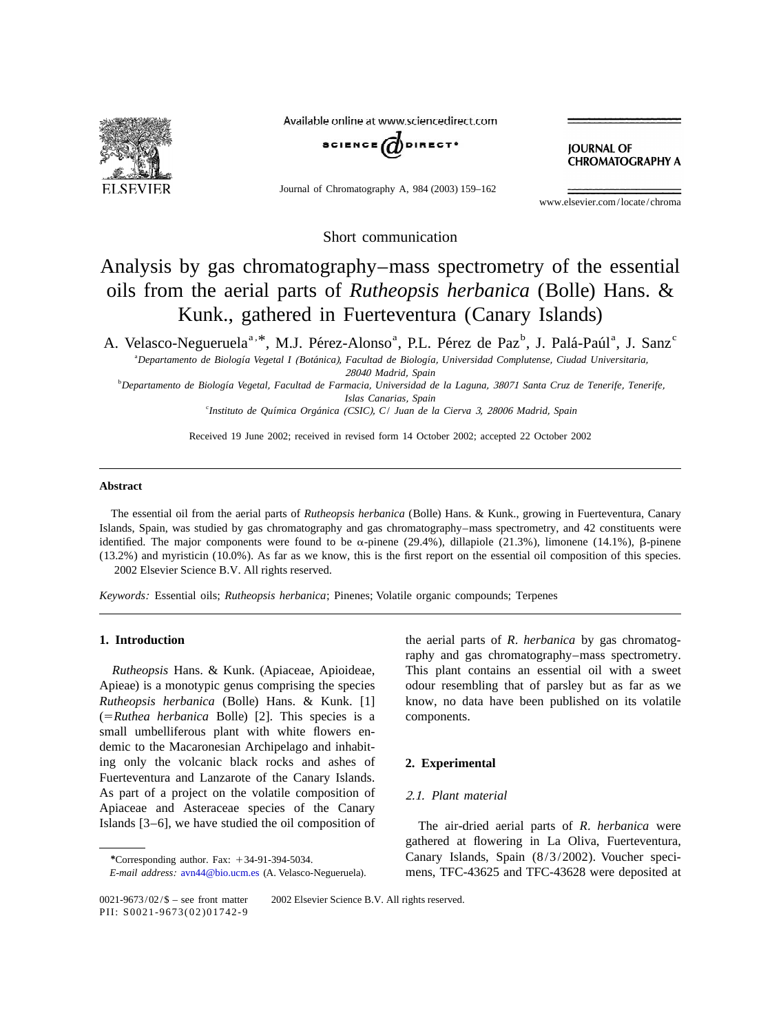

Available online at www.sciencedirect.com



Journal of Chromatography A, 984 (2003) 159–162

**JOURNAL OF CHROMATOGRAPHY A** 

www.elsevier.com/locate/chroma

Short communication

# Analysis by gas chromatography–mass spectrometry of the essential oils from the aerial parts of *Rutheopsis herbanica* (Bolle) Hans. & Kunk., gathered in Fuerteventura (Canary Islands)

A. Velasco-Negueruela<sup>a, \*</sup>, M.J. Pérez-Alonso<sup>a</sup>, P.L. Pérez de Paz<sup>b</sup>, J. Palá-Paúl<sup>a</sup>, J. Sanz<sup>c</sup>

a *Departamento de Biologıa Vegetal I ´´ ´* (*Botanica*), *Facultad de Biologıa*, *Universidad Complutense*, *Ciudad Universitaria*, <sup>28040</sup> *Madrid*, *Spain*

b *Departamento de Biologıa Vegetal ´* , *Facultad de Farmacia*, *Universidad de la Laguna*, <sup>38071</sup> *Santa Cruz de Tenerife*, *Tenerife*, *Islas Canarias*, *Spain*

c *Instituto de Quımica Organica ´ ´* (*CSIC*), *C*/ *Juan de la Cierva* 3, <sup>28006</sup> *Madrid*, *Spain*

Received 19 June 2002; received in revised form 14 October 2002; accepted 22 October 2002

## **Abstract**

The essential oil from the aerial parts of *Rutheopsis herbanica* (Bolle) Hans. & Kunk., growing in Fuerteventura, Canary Islands, Spain, was studied by gas chromatography and gas chromatography–mass spectrometry, and 42 constituents were identified. The major components were found to be  $\alpha$ -pinene (29.4%), dillapiole (21.3%), limonene (14.1%),  $\beta$ -pinene (13.2%) and myristicin (10.0%). As far as we know, this is the first report on the essential oil composition of this species. 2002 Elsevier Science B.V. All rights reserved.

*Keywords*: Essential oils; *Rutheopsis herbanica*; Pinenes; Volatile organic compounds; Terpenes

Apieae) is a monotypic genus comprising the species odour resembling that of parsley but as far as we *Rutheopsis herbanica* (Bolle) Hans. & Kunk. [1] know, no data have been published on its volatile (5*Ruthea herbanica* Bolle) [2]. This species is a components. small umbelliferous plant with white flowers endemic to the Macaronesian Archipelago and inhabiting only the volcanic black rocks and ashes of **2. Experimental** Fuerteventura and Lanzarote of the Canary Islands. As part of a project on the volatile composition of 2.1. *Plant material* Apiaceae and Asteraceae species of the Canary Islands [3–6], we have studied the oil composition of The air-dried aerial parts of *R*. *herbanica* were

**1. Introduction** the aerial parts of *R*. *herbanica* by gas chromatography and gas chromatography–mass spectrometry. *Rutheopsis* Hans. & Kunk. (Apiaceae, Apioideae, This plant contains an essential oil with a sweet

gathered at flowering in La Oliva, Fuerteventura, *\**Corresponding author. Fax: <sup>1</sup>34-91-394-5034. Canary Islands, Spain (8/3/2002). Voucher speci-*E*-*mail address*: [avn44@bio.ucm.es](mailto:avn44@bio.ucm.es) (A. Velasco-Negueruela). mens, TFC-43625 and TFC-43628 were deposited at

 $0021-9673/02/\$$  – see front matter  $\circ$  2002 Elsevier Science B.V. All rights reserved. PII: S0021-9673(02)01742-9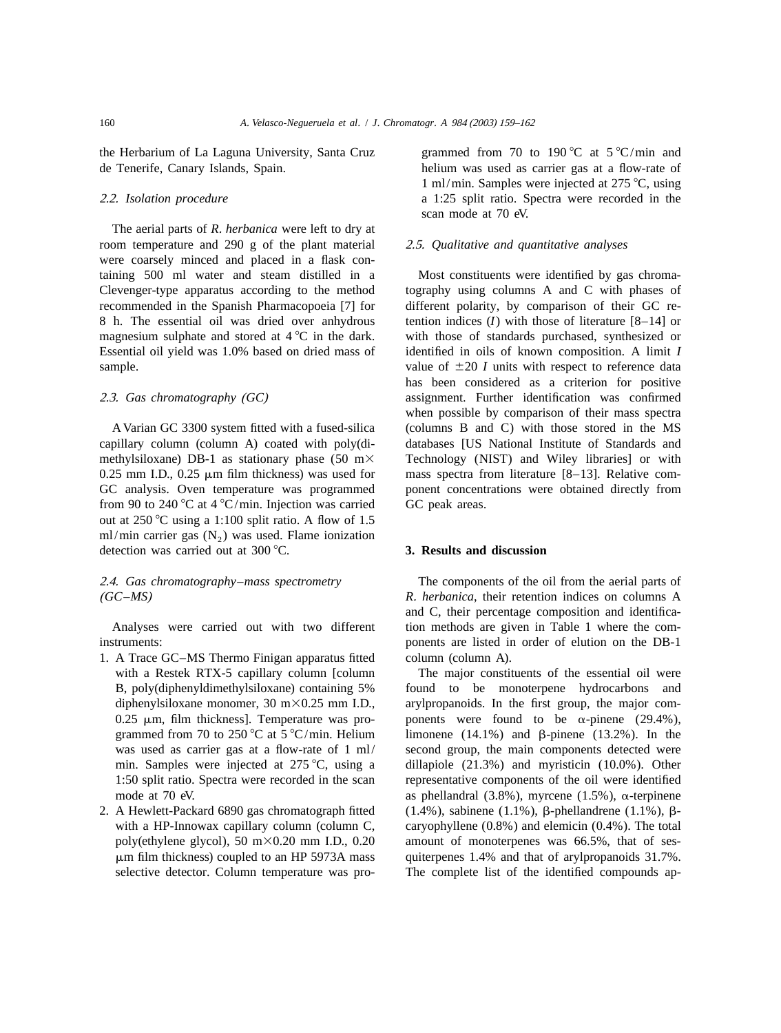the Herbarium of La Laguna University, Santa Cruz grammed from 70 to 190 °C at  $5 \degree C / \text{min}$  and de Tenerife, Canary Islands, Spain. helium was used as carrier gas at a flow-rate of

The aerial parts of *R*. *herbanica* were left to dry at room temperature and 290 g of the plant material 2 .5. *Qualitative and quantitative analyses* were coarsely minced and placed in a flask containing 500 ml water and steam distilled in a Most constituents were identified by gas chroma-Clevenger-type apparatus according to the method tography using columns A and C with phases of recommended in the Spanish Pharmacopoeia [7] for different polarity, by comparison of their GC re-8 h. The essential oil was dried over anhydrous tention indices (*I*) with those of literature [8–14] or magnesium sulphate and stored at  $4^{\circ}C$  in the dark. with those of standards purchased, synthesized or Essential oil yield was 1.0% based on dried mass of identified in oils of known composition. A limit *I* sample.  $value of \pm 20$  *I* units with respect to reference data

capillary column (column A) coated with poly(di- databases [US National Institute of Standards and methylsiloxane) DB-1 as stationary phase  $(50 \text{ m} \times \text{Technology (NIST) and Wiley libraries}]$  or with 0.25 mm I.D., 0.25  $\mu$ m film thickness) was used for mass spectra from literature [8–13]. Relative com-GC analysis. Oven temperature was programmed ponent concentrations were obtained directly from from 90 to 240 °C at 4 °C/min. Injection was carried GC peak areas. out at  $250^{\circ}$ C using a 1:100 split ratio. A flow of 1.5 ml/min carrier gas  $(N_2)$  was used. Flame ionization detection was carried out at 300 °C. **3. Results and discussion** 

- 1. A Trace GC–MS Thermo Finigan apparatus fitted column (column A). with a Restek RTX-5 capillary column [column The major constituents of the essential oil were
- 

1 ml/min. Samples were injected at  $275^{\circ}$ C, using 2 .2. *Isolation procedure* a 1:25 split ratio. Spectra were recorded in the scan mode at 70 eV.

has been considered as a criterion for positive 2 .3. *Gas chromatography* (*GC*) assignment. Further identification was confirmed when possible by comparison of their mass spectra A Varian GC 3300 system fitted with a fused-silica (columns B and C) with those stored in the MS

2 .4. *Gas chromatography*–*mass spectrometry* The components of the oil from the aerial parts of (*GC*–*MS*) *R*. *herbanica*, their retention indices on columns A and C, their percentage composition and identifica-Analyses were carried out with two different tion methods are given in Table 1 where the cominstruments: ponents are listed in order of elution on the DB-1

B, poly(diphenyldimethylsiloxane) containing 5% found to be monoterpene hydrocarbons and diphenylsiloxane monomer, 30 m $\times$ 0.25 mm I.D., arylpropanoids. In the first group, the major com-0.25  $\mu$ m, film thickness]. Temperature was pro- ponents were found to be  $\alpha$ -pinene (29.4%), grammed from 70 to 250 °C at 5 °C/min. Helium limonene (14.1%) and  $\beta$ -pinene (13.2%). In the was used as carrier gas at a flow-rate of 1 ml/ second group, the main components detected were min. Samples were injected at  $275^{\circ}$ C, using a dillapiole (21.3%) and myristicin (10.0%). Other 1:50 split ratio. Spectra were recorded in the scan representative components of the oil were identified mode at 70 eV.  $\alpha$  as phellandral (3.8%), myrcene (1.5%),  $\alpha$ -terpinene 2. A Hewlett-Packard 6890 gas chromatograph fitted  $(1.4\%)$ , sabinene  $(1.1\%)$ ,  $\beta$ -phellandrene  $(1.1\%)$ ,  $\beta$ with a HP-Innowax capillary column (column C, caryophyllene  $(0.8%)$  and elemicin  $(0.4%)$ . The total poly(ethylene glycol), 50 m $\times$ 0.20 mm I.D., 0.20 amount of monoterpenes was 66.5%, that of sesmm film thickness) coupled to an HP 5973A mass quiterpenes 1.4% and that of arylpropanoids 31.7%. selective detector. Column temperature was pro-<br>The complete list of the identified compounds ap-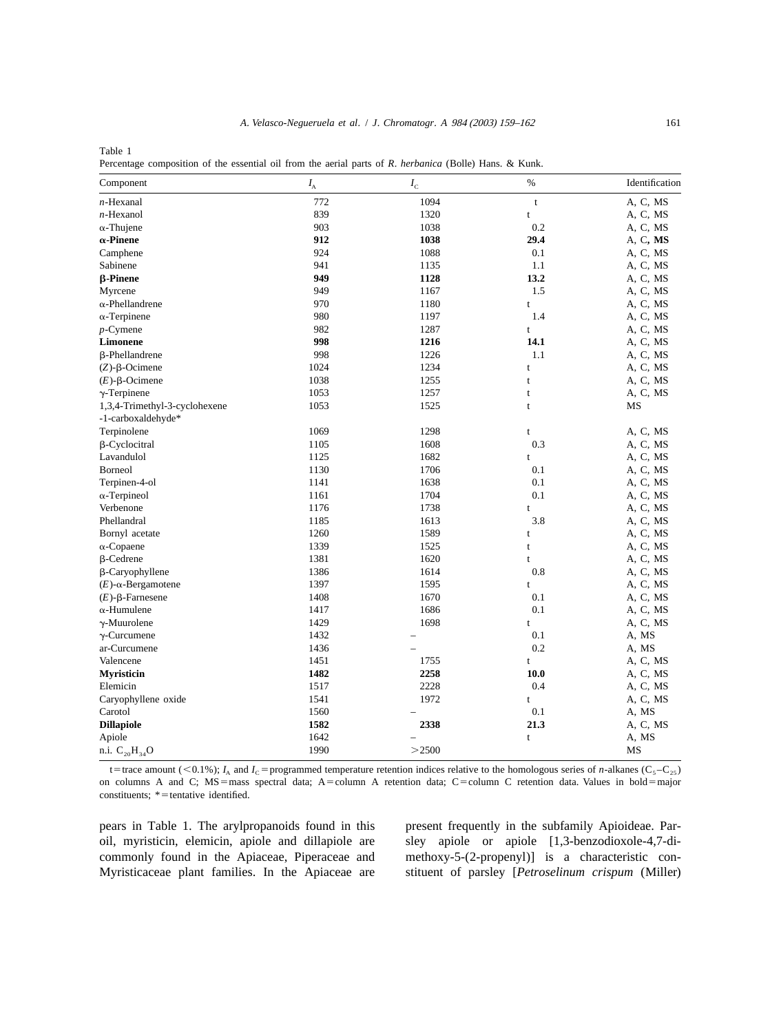Table 1 Percentage composition of the essential oil from the aerial parts of *R*. *herbanica* (Bolle) Hans. & Kunk.

| Component                     | $I_{\rm A}$ | $I_{\rm\scriptscriptstyle C}$ | $\%$         | Identification |
|-------------------------------|-------------|-------------------------------|--------------|----------------|
| $n$ -Hexanal                  | 772         | 1094                          | $\mathbf t$  | A, C, MS       |
| $n$ -Hexanol                  | 839         | 1320                          | t            | A, C, MS       |
| $\alpha$ -Thujene             | 903         | 1038                          | 0.2          | A, C, MS       |
| $\alpha$ -Pinene              | 912         | 1038                          | 29.4         | A, C, MS       |
| Camphene                      | 924         | 1088                          | 0.1          | A, C, MS       |
| Sabinene                      | 941         | 1135                          | 1.1          | A, C, MS       |
| <b>β-Pinene</b>               | 949         | 1128                          | 13.2         | A, C, MS       |
| Myrcene                       | 949         | 1167                          | 1.5          | A, C, MS       |
| $\alpha$ -Phellandrene        | 970         | 1180                          | $\mathbf t$  | A, C, MS       |
| $\alpha$ -Terpinene           | 980         | 1197                          | 1.4          | A, C, MS       |
| $p$ -Cymene                   | 982         | 1287                          | $\mathbf t$  | A, C, MS       |
| Limonene                      | 998         | 1216                          | 14.1         | A, C, MS       |
| β-Phellandrene                | 998         | 1226                          | 1.1          | A, C, MS       |
| $(Z)$ - $\beta$ -Ocimene      | 1024        | 1234                          | t            | A, C, MS       |
| $(E)$ - $\beta$ -Ocimene      | 1038        | 1255                          | $\mathbf t$  | A, C, MS       |
| $\gamma$ -Terpinene           | 1053        | 1257                          | t            | A, C, MS       |
| 1,3,4-Trimethyl-3-cyclohexene | 1053        | 1525                          | t            | MS             |
| -1-carboxaldehyde*            |             |                               |              |                |
| Terpinolene                   | 1069        | 1298                          | t            | A, C, MS       |
| β-Cyclocitral                 | 1105        | 1608                          | 0.3          | A, C, MS       |
| Lavandulol                    | 1125        | 1682                          | t            | A, C, MS       |
| Borneol                       | 1130        | 1706                          | 0.1          | A, C, MS       |
| Terpinen-4-ol                 | 1141        | 1638                          | 0.1          | A, C, MS       |
| $\alpha$ -Terpineol           | 1161        | 1704                          | 0.1          | A, C, MS       |
| Verbenone                     | 1176        | 1738                          | $\mathbf{t}$ | A, C, MS       |
| Phellandral                   | 1185        | 1613                          | 3.8          | A, C, MS       |
| Bornyl acetate                | 1260        | 1589                          | t            | A, C, MS       |
| $\alpha$ -Copaene             | 1339        | 1525                          | t            | A, C, MS       |
| $\beta$ -Cedrene              | 1381        | 1620                          | t            | A, C, MS       |
| β-Caryophyllene               | 1386        | 1614                          | 0.8          | A, C, MS       |
| $(E)$ - $\alpha$ -Bergamotene | 1397        | 1595                          | $\mathbf{t}$ | A, C, MS       |
| $(E)$ - $\beta$ -Farnesene    | 1408        | 1670                          | 0.1          | A, C, MS       |
| $\alpha$ -Humulene            | 1417        | 1686                          | 0.1          | A, C, MS       |
| $\gamma$ -Muurolene           | 1429        | 1698                          | t            | A, C, MS       |
| $\gamma$ -Curcumene           | 1432        |                               | 0.1          | A, MS          |
| ar-Curcumene                  | 1436        |                               | 0.2          | A, MS          |
| Valencene                     | 1451        | 1755                          | t            | A, C, MS       |
| <b>Myristicin</b>             | 1482        | 2258                          | <b>10.0</b>  | A, C, MS       |
| Elemicin                      | 1517        | 2228                          | 0.4          | A, C, MS       |
| Caryophyllene oxide           | 1541        | 1972                          | t            | A, C, MS       |
| Carotol                       | 1560        |                               | 0.1          | A, MS          |
| <b>Dillapiole</b>             | 1582        | 2338                          | 21.3         | A, C, MS       |
| Apiole                        | 1642        |                               | $\mathbf t$  | A, MS          |
| n.i. $C_{20}H_{34}O$          | 1990        | >2500                         |              | MS             |

t=trace amount (<0.1%);  $I_A$  and  $I_C$ =programmed temperature retention indices relative to the homologous series of *n*-alkanes (C<sub>5</sub>-C<sub>25</sub>) on columns A and C; MS=mass spectral data; A=column A retention data; C=column C retention data. Values in bold=major constituents;  $*$  = tentative identified.

pears in Table 1. The arylpropanoids found in this present frequently in the subfamily Apioideae. Paroil, myristicin, elemicin, apiole and dillapiole are sley apiole or apiole [1,3-benzodioxole-4,7-dicommonly found in the Apiaceae, Piperaceae and methoxy-5-(2-propenyl)] is a characteristic con-Myristicaceae plant families. In the Apiaceae are stituent of parsley [*Petroselinum crispum* (Miller)